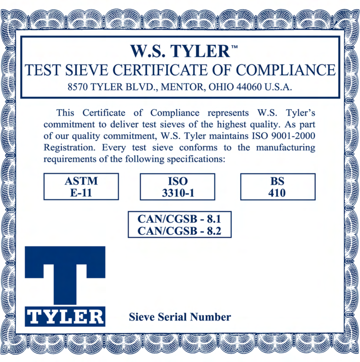## **W.S. TYLER<sup>\*\*</sup>** TEST SIEVE CERTIFICATE OF COMPLIANCE 8570 TYLER BLVD., MENTOR, OHIO 44060 U.S.A.

This Certificate of Compliance represents W.S. Tyler's commitment to deliver test sieves of the highest quality. As part of our quality commitment, W.S. Tyler maintains ISO 9001-2000 Registration. Every test sieve conforms to the manufacturing requirements of the following specifications: